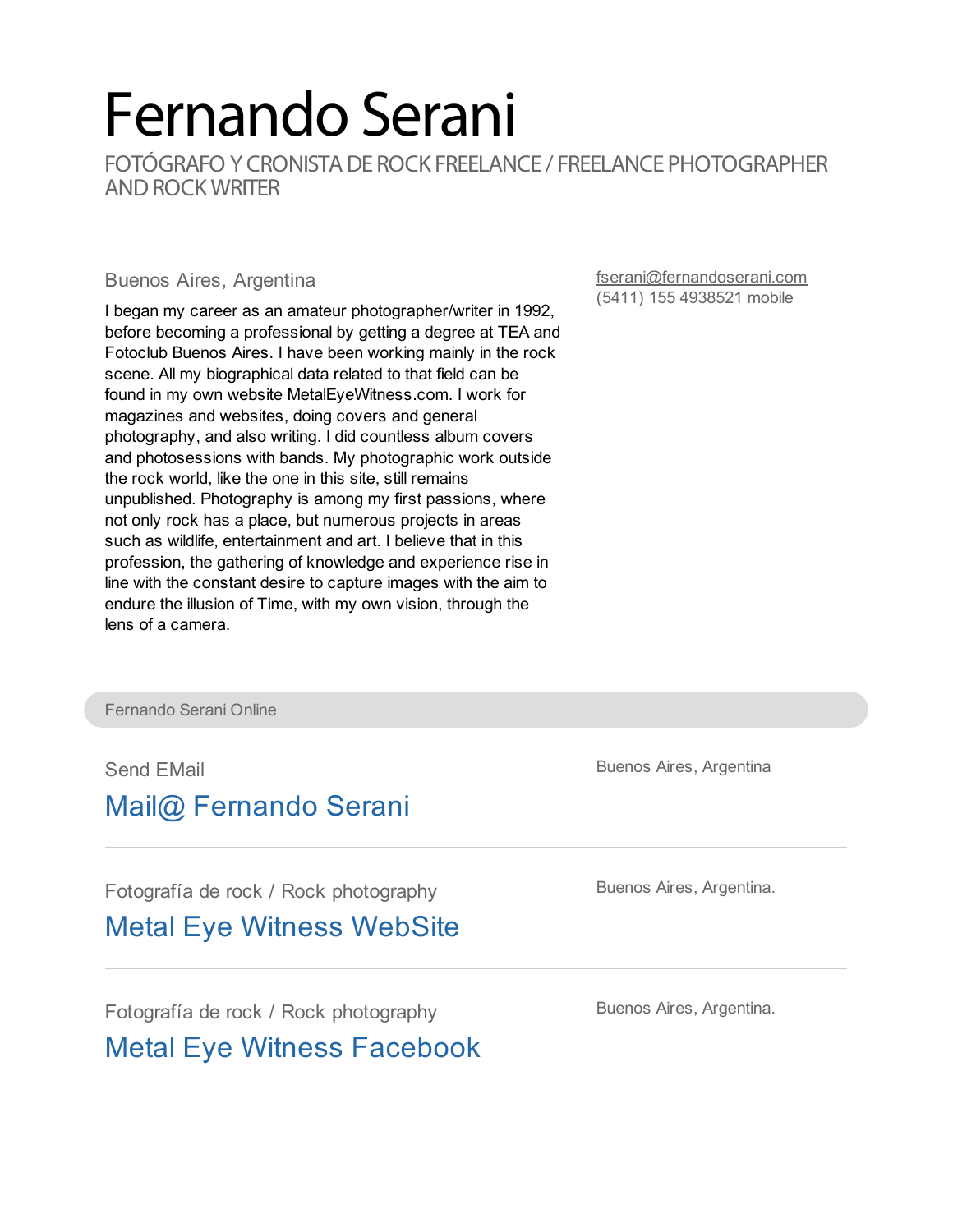## Fernando Serani

FOTÓGRAFO Y CRONISTA DE ROCK FREELANCE / FREELANCE PHOTOGRAPHER AND ROCK WRITER

## Buenos Aires, Argentina

I began my career as an amateur photographer/writer in 1992, before becoming a professional by getting a degree at TEA and Fotoclub Buenos Aires. I have been working mainly in the rock scene. All my biographical data related to that field can be found in my own website MetalEyeWitness.com. I work for magazines and websites, doing covers and general photography, and also writing. I did countless album covers and photosessions with bands. My photographic work outside the rock world, like the one in this site, still remains unpublished. Photography is among my first passions, where not only rock has a place, but numerous projects in areas such as wildlife, entertainment and art. I believe that in this profession, the gathering of knowledge and experience rise in line with the constant desire to capture images with the aim to endure the illusion of Time, with my own vision, through the lens of a camera.

[fserani@fernandoserani.com](mailto:fserani@fernandoserani.com) (5411) 155 4938521 mobile

Fernando Serani Online

Send EMail

## Mail@ [Fernando](mailto:fserani@fernandoserani.com) Serani

Fotografía de rock / Rock photography

Metal Eye Witness [WebSite](http://www.metaleyewitness.com)

Fotografía de rock / Rock photography

Metal Eye Witness [Facebook](http://www.facebook.com/MetalEyeWitness)

Buenos Aires, Argentina

Buenos Aires, Argentina.

Buenos Aires, Argentina.